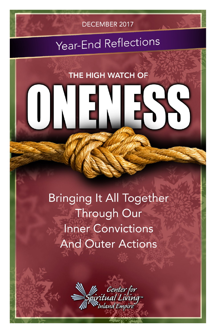

# Year-End Reflections

**THE HIGH WATCH OF** 

# **Bringing It All Together** Through Our **Inner Convictions And Outer Actions**

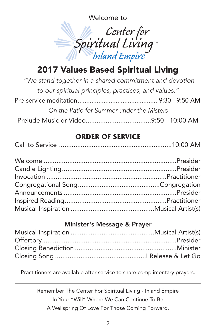Welcome to



## 2017 Values Based Spiritual Living

| "We stand together in a shared commitment and devotion |  |
|--------------------------------------------------------|--|
| to our spiritual principles, practices, and values."   |  |
|                                                        |  |
| On the Patio for Summer under the Misters              |  |
|                                                        |  |

#### **ORDER OF SERVICE**

|--|--|--|

#### Minister's Message & Prayer

Practitioners are available after service to share complimentary prayers.

Remember The Center For Spiritual Living - Inland Empire In Your "Will" Where We Can Continue To Be A Wellspring Of Love For Those Coming Forward.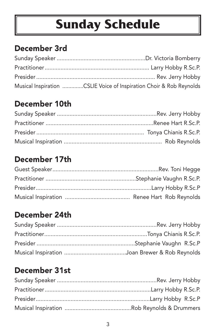# **Sunday Schedule**

## December 3rd

| Musical Inspiration CSLIE Voice of Inspiration Choir & Rob Reynolds |
|---------------------------------------------------------------------|

### December 10th

### December 17th

## December 24th

## December 31st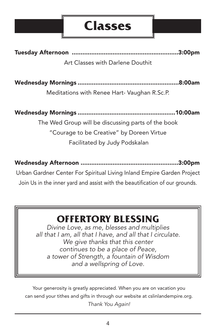## **Classes**

Tuesday Afternoon ............................................................3:00pm Art Classes with Darlene Douthit

Wednesday Mornings .........................................................8:00am

Meditations with Renee Hart- Vaughan R.Sc.P.

Wednesday Mornings .......................................................10:00am The Wed Group will be discussing parts of the book "Courage to be Creative" by Doreen Virtue Facilitated by Judy Podskalan

Wednesday Afternoon .......................................................3:00pm

Urban Gardner Center For Spiritual Living Inland Empire Garden Project Join Us in the inner yard and assist with the beautification of our grounds.

## **OFFERTORY BLESSING**

*Divine Love, as me, blesses and multiplies all that I am, all that I have, and all that I circulate. We give thanks that this center continues to be a place of Peace, a tower of Strength, a fountain of Wisdom and a wellspring of Love.*

Your generosity is greatly appreciated. When you are on vacation you can send your tithes and gifts in through our website at cslinlandempire.org. *Thank You Again!*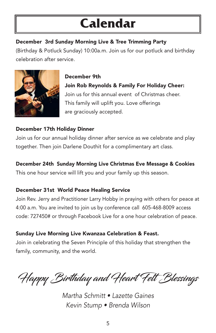# **Calendar**

#### December 3rd Sunday Morning Live & Tree Trimming Party

(Birthday & Potluck Sunday) 10:00a.m. Join us for our potluck and birthday celebration after service.



December 9th Join Rob Reynolds & Family For Holiday Cheer: Join us for this annual event of Christmas cheer. This family will uplift you. Love offerings are graciously accepted.

#### December 17th Holiday Dinner

Join us for our annual holiday dinner after service as we celebrate and play together. Then join Darlene Douthit for a complimentary art class.

#### December 24th Sunday Morning Live Christmas Eve Message & Cookies

This one hour service will lift you and your family up this season.

#### December 31st World Peace Healing Service

Join Rev. Jerry and Practitioner Larry Hobby in praying with others for peace at 4:00 a.m. You are invited to join us by conference call 605-468-8009 access code: 727450# or through Facebook Live for a one hour celebration of peace.

#### Sunday Live Morning Live Kwanzaa Celebration & Feast.

Join in celebrating the Seven Principle of this holiday that strengthen the family, community, and the world.

Happy Birthday and Heart Felt Blessings

*Martha Schmitt • Lazette Gaines Kevin Stump • Brenda Wilson*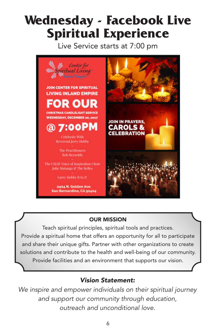# **Wednesday - Facebook Live Spiritual Experience**

Live Service starts at 7:00 pm



#### OUR MISSION

Teach spiritual principles, spiritual tools and practices. Provide a spiritual home that offers an opportunity for all to participate and share their unique gifts. Partner with other organizations to create solutions and contribute to the health and well-being of our community. Provide facilities and an environment that supports our vision.

#### *Vision Statement:*

*We inspire and empower individuals on their spiritual journey and support our community through education, outreach and unconditional love.*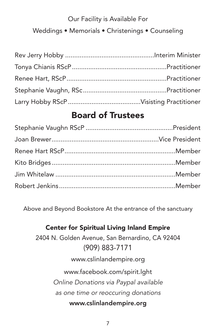#### Our Facility is Available For

Weddings • Memorials • Christenings • Counseling

### Board of Trustees

Above and Beyond Bookstore At the entrance of the sanctuary

## Center for Spiritual Living Inland Empire 2404 N. Golden Avenue, San Bernardino, CA 92404 (909) 883-7171 www.cslinlandempire.org www.facebook.com/spirit.lght *Online Donations via Paypal available as one time or reoccuring donations* www.cslinlandempire.org